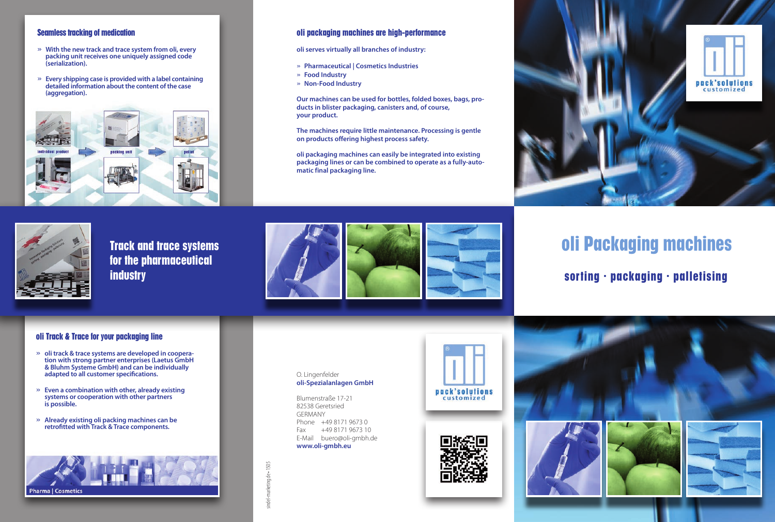#### **Seamless tracking of medication**

- » **With the new track and trace system from oli, every packing unit receives one uniquely assigned code (serialization).**
- » **Every shipping case is provided with a label containing detailed information about the content of the case (aggregation).**



#### **oli packaging machines are high-performance**

**oli serves virtually all branches of industry:**

- » **Pharmaceutical | Cosmetics Industries**
- » **Food Industry**
- » **Non-Food Industry**

**Our machines can be used for bottles, folded boxes, bags, products in blister packaging, canisters and, of course, your product.**

**The machines require little maintenance. Processing is gentle on products offering highest process safety.**

**oli packaging machines can easily be integrated into existing packaging lines or can be combined to operate as a fully-automatic final packaging line.**



**Track and trace systems for the pharmaceutical industry**



# **oli Packaging machines**

**sorting ∙ packaging ∙ palletising**

#### **oli Track & Trace for your packaging line**

- » **oli track & trace systems are developed in cooperation with strong partner enterprises (Laetus GmbH & Bluhm Systeme GmbH) and can be individually adapted to all customer specifications.**
- » **Even a combination with other, already existing systems or cooperation with other partners is possible.**
- » **Already existing oli packing machines can be retrofitted with Track & Trace components.**



#### O. Lingenfelder **oli-Spezialanlagen GmbH**

Blumenstraße 17-21 82538 Geretsried GERMANY Phone +49 8171 9673 0 Fax +49 8171 9673 10 E-Mail buero@oli-gmbh.de **www.oli-gmbh.eu**